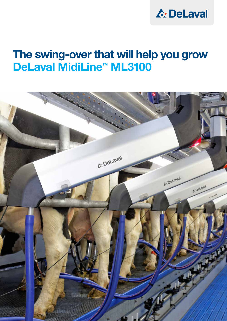

# The swing-over that will help you grow DeLaval MidiLine™ ML3100

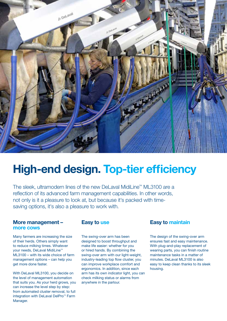

# High-end design. Top-tier efficiency

The sleek, ultramodern lines of the new DeLaval MidiLine™ ML3100 are a reflection of its advanced farm management capabilities. In other words, not only is it a pleasure to look at, but because it's packed with timesaving options, it's also a pleasure to work with.

### More management – more cows

Many farmers are increasing the size of their herds. Others simply want to reduce milking times. Whatever your needs, DeLaval MidiLine™ ML3100 – with its wide choice of farm management options – can help you get more done faster.

With DeLaval ML3100, you decide on the level of management automation that suits you. As your herd grows, you can increase the level step by step: from automated cluster removal, to full integration with DeLaval DelPro™ Farm Manager.

### Easy to use

The swing-over arm has been designed to boost throughput and make life easier: whether for you or hired hands. By combining the swing-over arm with our light-weight, industry-leading top flow cluster, you can improve workplace comfort and ergonomics. In addition, since each arm has its own indicator light, you can check milking status or alarms from anywhere in the parlour.

## Easy to maintain

The design of the swing-over arm ensures fast and easy maintenance. With plug-and-play replacement of wearing parts, you can finish routine maintenance tasks in a matter of minutes. DeLaval ML3100 is also easy to keep clean thanks to its sleek housing.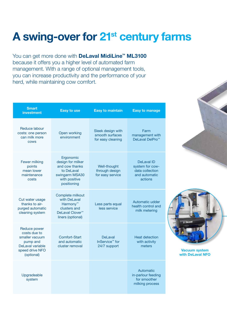# A swing-over for 21<sup>st</sup> century farms

You can get more done with **DeLaval MidiLine™ ML3100** because it offers you a higher level of automated farm management. With a range of optional management tools, you can increase productivity and the performance of your herd, while maintaining cow comfort.

| <b>Smart</b><br>investment                                                                                      | <b>Easy to use</b>                                                                                                           | <b>Easy to maintain</b>                                   | <b>Easy to manage</b>                                                               |
|-----------------------------------------------------------------------------------------------------------------|------------------------------------------------------------------------------------------------------------------------------|-----------------------------------------------------------|-------------------------------------------------------------------------------------|
| Reduce labour<br>costs: one person<br>can milk more<br><b>COWS</b>                                              | Open working<br>environment                                                                                                  | Sleek design with<br>smooth surfaces<br>for easy cleaning | Farm<br>management with<br>DeLaval DelPro <sup>™</sup>                              |
| <b>Fewer milking</b><br>points<br>mean lower<br>maintenance<br>costs                                            | Ergonomic<br>design for milker<br>and cow thanks<br>to DeLaval<br>swingarm MSA30<br>with positive<br>positioning             | Well-thought<br>through design<br>for easy service        | <b>DeLaval ID</b><br>system for cow-<br>data collection<br>and automatic<br>actions |
| Cut water usage<br>thanks to air-<br>purged automatic<br>cleaning system                                        | Complete milkout<br>with DeLaval<br>Harmony <sup>™</sup><br>clusters and<br>DeLaval Clover <sup>™</sup><br>liners (optional) | Less parts equal<br>less service                          | Automatic udder<br>health control and<br>milk metering                              |
| Reduce power<br>costs due to<br>smaller vacuum<br>pump and<br>DeLaval variable<br>speed drive NFO<br>(optional) | Comfort-Start<br>and automatic<br>cluster removal                                                                            | DeLaval<br>InService <sup>™</sup> for<br>24/7 support     | <b>Heat detection</b><br>with activity<br>meters                                    |
| Upgradeable<br>system                                                                                           |                                                                                                                              |                                                           | Automatic<br>in-parlour feeding<br>for smoother<br>milking process                  |

Vacuum system with DeLaval NFO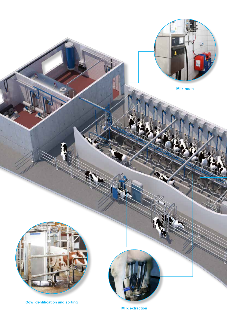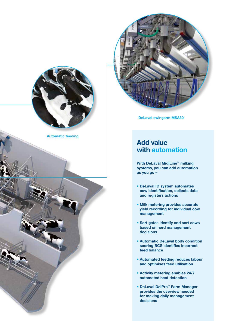



Automatic feeding

DeLaval swingarm MSA30

## Add value with automation

With DeLaval MidiLine™ milking systems, you can add automation as you go –

- DeLaval ID system automates cow identification, collects data and registers actions
- Milk metering provides accurate yield recording for individual cow management
- Sort gates identify and sort cows based on herd management decisions
- Automatic DeLaval body condition scoring BCS identifies incorrect feed balance
- Automated feeding reduces labour and optimises feed utilisation
- Activity metering enables 24/7 automated heat detection
- DeLaval DelPro™ Farm Manager provides the overview needed for making daily management decisions